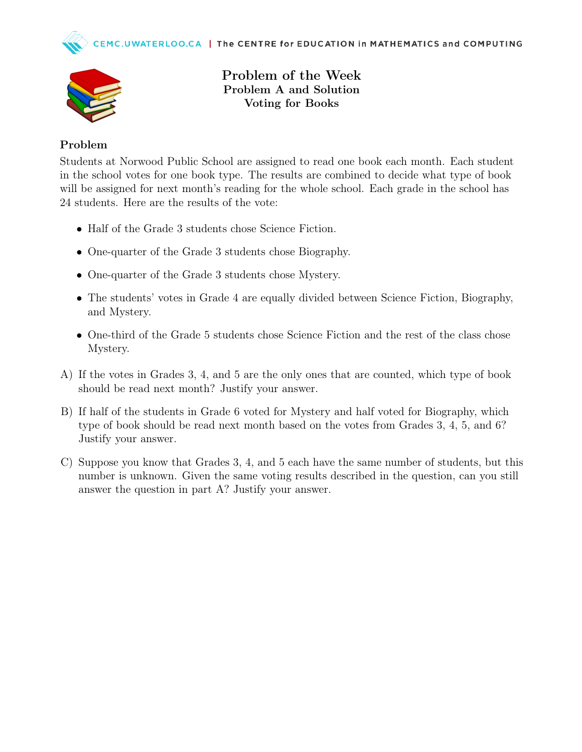



Problem of the Week Problem A and Solution Voting for Books

## Problem

Students at Norwood Public School are assigned to read one book each month. Each student in the school votes for one book type. The results are combined to decide what type of book will be assigned for next month's reading for the whole school. Each grade in the school has 24 students. Here are the results of the vote:

- Half of the Grade 3 students chose Science Fiction.
- One-quarter of the Grade 3 students chose Biography.
- One-quarter of the Grade 3 students chose Mystery.
- The students' votes in Grade 4 are equally divided between Science Fiction, Biography, and Mystery.
- One-third of the Grade 5 students chose Science Fiction and the rest of the class chose Mystery.
- A) If the votes in Grades 3, 4, and 5 are the only ones that are counted, which type of book should be read next month? Justify your answer.
- B) If half of the students in Grade 6 voted for Mystery and half voted for Biography, which type of book should be read next month based on the votes from Grades 3, 4, 5, and 6? Justify your answer.
- C) Suppose you know that Grades 3, 4, and 5 each have the same number of students, but this number is unknown. Given the same voting results described in the question, can you still answer the question in part A? Justify your answer.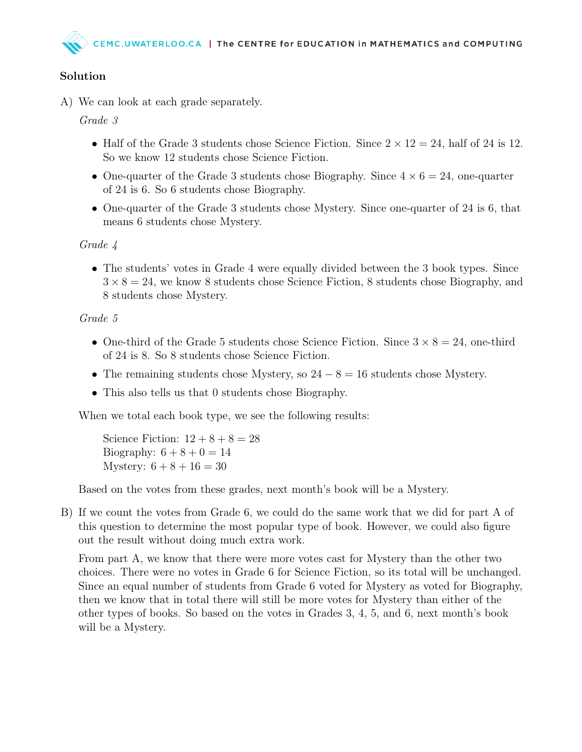## Solution

A) We can look at each grade separately.

Grade 3

- Half of the Grade 3 students chose Science Fiction. Since  $2 \times 12 = 24$ , half of 24 is 12. So we know 12 students chose Science Fiction.
- One-quarter of the Grade 3 students chose Biography. Since  $4 \times 6 = 24$ , one-quarter of 24 is 6. So 6 students chose Biography.
- One-quarter of the Grade 3 students chose Mystery. Since one-quarter of 24 is 6, that means 6 students chose Mystery.

Grade 4

• The students' votes in Grade 4 were equally divided between the 3 book types. Since  $3 \times 8 = 24$ , we know 8 students chose Science Fiction, 8 students chose Biography, and 8 students chose Mystery.

## Grade 5

- One-third of the Grade 5 students chose Science Fiction. Since  $3 \times 8 = 24$ , one-third of 24 is 8. So 8 students chose Science Fiction.
- The remaining students chose Mystery, so  $24 8 = 16$  students chose Mystery.
- This also tells us that 0 students chose Biography.

When we total each book type, we see the following results:

Science Fiction:  $12 + 8 + 8 = 28$ Biography:  $6 + 8 + 0 = 14$ Mystery:  $6 + 8 + 16 = 30$ 

Based on the votes from these grades, next month's book will be a Mystery.

B) If we count the votes from Grade 6, we could do the same work that we did for part A of this question to determine the most popular type of book. However, we could also figure out the result without doing much extra work.

From part A, we know that there were more votes cast for Mystery than the other two choices. There were no votes in Grade 6 for Science Fiction, so its total will be unchanged. Since an equal number of students from Grade 6 voted for Mystery as voted for Biography, then we know that in total there will still be more votes for Mystery than either of the other types of books. So based on the votes in Grades 3, 4, 5, and 6, next month's book will be a Mystery.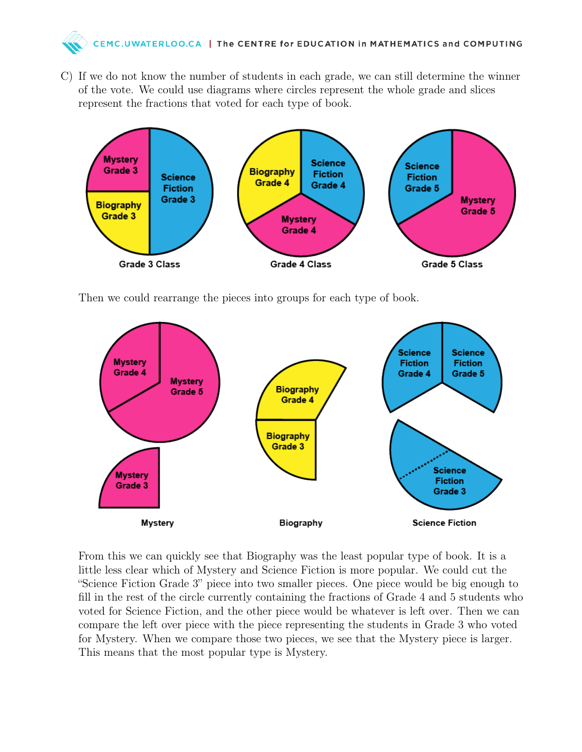

C) If we do not know the number of students in each grade, we can still determine the winner of the vote. We could use diagrams where circles represent the whole grade and slices represent the fractions that voted for each type of book.



Then we could rearrange the pieces into groups for each type of book.



From this we can quickly see that Biography was the least popular type of book. It is a little less clear which of Mystery and Science Fiction is more popular. We could cut the "Science Fiction Grade 3" piece into two smaller pieces. One piece would be big enough to fill in the rest of the circle currently containing the fractions of Grade 4 and 5 students who voted for Science Fiction, and the other piece would be whatever is left over. Then we can compare the left over piece with the piece representing the students in Grade 3 who voted for Mystery. When we compare those two pieces, we see that the Mystery piece is larger. This means that the most popular type is Mystery.